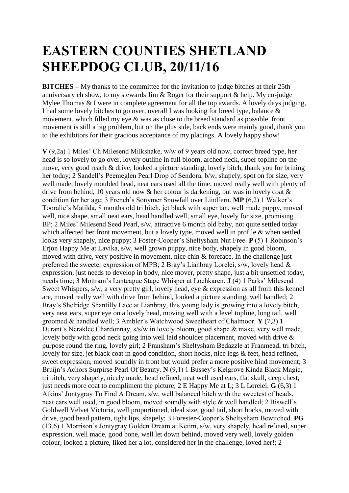## **EASTERN COUNTIES SHETLAND SHEEPDOG CLUB, 20/11/16**

**BITCHES –** My thanks to the committee for the invitation to judge bitches at their 25th anniversary ch show, to my stewards Jim & Roger for their support & help. My co-judge Mylee Thomas & I were in complete agreement for all the top awards. A lovely days judging, I had some lovely bitches to go over, overall I was looking for breed type, balance & movement, which filled my eye & was as close to the breed standard as possible, front movement is still a big problem, but on the plus side, back ends were mainly good, thank you to the exhibitors for their gracious acceptance of my placings. A lovely happy show!

**V** (9,2a) 1 Miles' Ch Milesend Milkshake, w/w of 9 years old now, correct breed type, her head is so lovely to go over, lovely outline in full bloom, arched neck, super topline on the move, very good reach & drive, looked a picture standing, lovely bitch, thank you for brining her today; 2 Sandell's Peemeglen Pearl Drop of Sendora, b/w, shapely, spot on for size, very well made, lovely moulded head, neat ears used all the time, moved really well with plenty of drive from behind, 10 years old now & her colour is darkening, but was in lovely coat & condition for her age; 3 French's Sonymer Snowfall over Lindfern. **MP** (6,2) 1 Walker's Tooralie's Matilda, 8 months old tri bitch, jet black with super tan, well made puppy, moved well, nice shape, small neat ears, head handled well, small eye, lovely for size, promising. BP; 2 Miles' Milesend Seed Pearl, s/w, attractive 6 month old baby, not quite settled today which affected her front movement, but a lovely type, moved well in profile & when settled looks very shapely, nice puppy; 3 Foster-Cooper's Sheltysham Nut Free. **P** (5) 1 Robinson's Erjon Happy Me at Lavika, s/w, well grown puppy, nice body, shapely in good bloom, moved with drive, very positive in movement, nice chin & foreface. In the challenge just preferred the sweeter expression of MPB; 2 Bray's Lianbray Lorelei, s/w, lovely head & expression, just needs to develop in body, nice mover, pretty shape, just a bit unsettled today, needs time; 3 Mottram's Lanteague Stage Whisper at Lochkaren. **J** (4) 1 Parks' Milesend Sweet Whispers, s/w, a very pretty girl, lovely head, eye & expression as all from this kennel are, moved really well with drive from behind, looked a picture standing, well handled; 2 Bray's Shelridge Shantilly Lace at Lianbray, this young lady is growing into a lovely bitch, very neat ears, super eye on a lovely head, moving well with a level topline, long tail, well groomed & handled well; 3 Ambler's Watchwood Sweetheart of Chalmoor. **Y** (7,3) 1 Durant's Neraklee Chardonnay, s/s/w in lovely bloom, good shape & make, very well made, lovely body with good neck going into well laid shoulder placement, moved with drive  $\&$ purpose round the ring, lovely girl; 2 Fransham's Sheltysham Bedazzle at Franmead, tri bitch, lovely for size, jet black coat in good condition, short hocks, nice legs & feet, head refined, sweet expression, moved soundly in front but would prefer a more positive hind movement; 3 Bruijn's Achors Surpirse Pearl Of Beauty, N (9.1) 1 Bussey's Kelgrove Kinda Black Magic, tri bitch, very shapely, nicely made, head refined, neat well used ears, flat skull, deep chest, just needs more coat to compliment the picture; 2 E Happy Me at L; 3 L Lorelei. **G** (6,3) 1 Atkins' Jontygray To Find A Dream, s/w, well balanced bitch with the sweetest of heads, neat ears well used, in good bloom, moved soundly with style & well handled; 2 Biswell's Goldwell Velvet Victoria, well proportioned, ideal size, good tail, short hocks, moved with drive, good head pattern, tight lips, shapely; 3 Forester-Cooper's Sheltysham Bewitched. **PG**  (13,6) 1 Morrison's Jontygray Golden Dream at Ketim, s/w, very shapely, head refined, super expression, well made, good bone, well let down behind, moved very well, lovely golden colour, looked a picture, liked her a lot, considered her in the challenge, loved her!; 2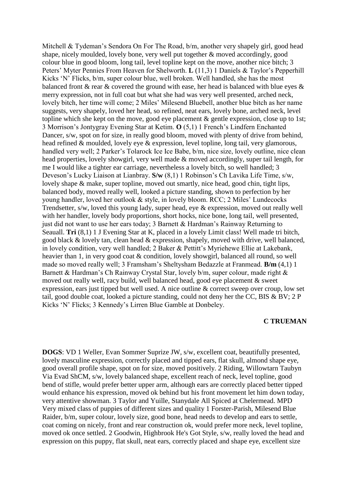Mitchell & Tydeman's Sendora On For The Road, b/m, another very shapely girl, good head shape, nicely moulded, lovely bone, very well put together & moved accordingly, good colour blue in good bloom, long tail, level topline kept on the move, another nice bitch; 3 Peters' Myter Pennies From Heaven for Shelworth. **L** (11,3) 1 Daniels & Taylor's Pepperhill Kicks 'N' Flicks, b/m, super colour blue, well broken. Well handled, she has the most balanced front  $\&$  rear  $\&$  covered the ground with ease, her head is balanced with blue eyes  $\&$ merry expression, not in full coat but what she had was very well presented, arched neck, lovely bitch, her time will come; 2 Miles' Milesend Bluebell, another blue bitch as her name suggests, very shapely, loved her head, so refined, neat ears, lovely bone, arched neck, level topline which she kept on the move, good eye placement & gentle expression, close up to 1st; 3 Morrison's Jontygray Evening Star at Ketim. **O** (5,1) 1 French's Lindfern Enchanted Dancer, s/w, spot on for size, in really good bloom, moved with plenty of drive from behind, head refined & moulded, lovely eye & expression, level topline, long tail, very glamorous, handled very well; 2 Parker's Tolarock Ice Ice Babe, b/m, nice size, lovely outline, nice clean head properties, lovely showgirl, very well made & moved accordingly, super tail length, for me I would like a tighter ear carriage, nevertheless a lovely bitch, so well handled; 3 Deveson's Lucky Liaison at Lianbray. **S/w** (8,1) 1 Robinson's Ch Lavika Life Time, s/w, lovely shape & make, super topline, moved out smartly, nice head, good chin, tight lips, balanced body, moved really well, looked a picture standing, shown to perfection by her young handler, loved her outlook & style, in lovely bloom. RCC; 2 Miles' Lundecocks Trendsetter, s/w, loved this young lady, super head, eye & expression, moved out really well with her handler, lovely body proportions, short hocks, nice bone, long tail, well presented, just did not want to use her ears today; 3 Barnett & Hardman's Rainway Returning to Seauall. **Tri** (8,1) 1 J Evening Star at K, placed in a lovely Limit class! Well made tri bitch, good black & lovely tan, clean head & expression, shapely, moved with drive, well balanced, in lovely condition, very well handled; 2 Baker & Pettitt's Myriehewe Ellie at Lakebank, heavier than 1, in very good coat & condition, lovely showgirl, balanced all round, so well made so moved really well; 3 Framsham's Sheltysham Bedazzle at Franmead. **B/m** (4,1) 1 Barnett & Hardman's Ch Rainway Crystal Star, lovely b/m, super colour, made right & moved out really well, racy build, well balanced head, good eye placement & sweet expression, ears just tipped but well used. A nice outline & correct sweep over croup, low set tail, good double coat, looked a picture standing, could not deny her the CC, BIS & BV; 2 P Kicks 'N' Flicks; 3 Kennedy's Lirren Blue Gamble at Donbeley.

## **C TRUEMAN**

**DOGS**: VD 1 Weller, Evan Sommer Suprize JW, s/w, excellent coat, beautifully presented, lovely masculine expression, correctly placed and tipped ears, flat skull, almond shape eye, good overall profile shape, spot on for size, moved positively. 2 Riding, Willowtarn Taubyn Via Evad ShCM, s/w, lovely balanced shape, excellent reach of neck, level topline, good bend of stifle, would prefer better upper arm, although ears are correctly placed better tipped would enhance his expression, moved ok behind but his front movement let him down today, very attentive showman. 3 Taylor and Yuille, Stanydale All Spiced at Chelermead. MPD Very mixed class of puppies of different sizes and quality 1 Forster-Parish, Milesend Blue Raider, b/m, super colour, lovely size, good bone, head needs to develop and ears to settle, coat coming on nicely, front and rear construction ok, would prefer more neck, level topline, moved ok once settled. 2 Goodwin, Highbrook He's Got Style, s/w, really loved the head and expression on this puppy, flat skull, neat ears, correctly placed and shape eye, excellent size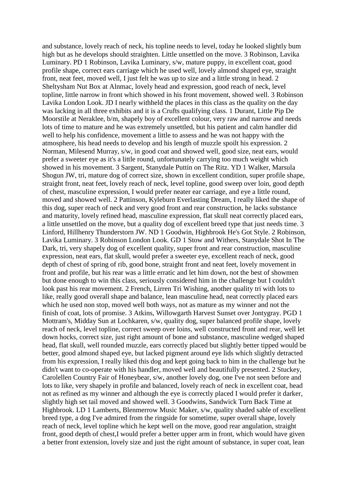and substance, lovely reach of neck, his topline needs to level, today he looked slightly bum high but as he develops should straighten. Little unsettled on the move. 3 Robinson, Lavika Luminary. PD 1 Robinson, Lavika Luminary, s/w, mature puppy, in excellent coat, good profile shape, correct ears carriage which he used well, lovely almond shaped eye, straight front, neat feet, moved well, I just felt he was up to size and a little strong in head. 2 Sheltysham Nut Box at Alnmac, lovely head and expression, good reach of neck, level topline, little narrow in front which showed in his front movement, showed well. 3 Robinson Lavika London Look. JD I nearly withheld the places in this class as the quality on the day was lacking in all three exhibits and it is a Crufts qualifying class. 1 Durant, Little Pip De Moorstile at Neraklee, b/m, shapely boy of excellent colour, very raw and narrow and needs lots of time to mature and he was extremely unsettled, but his patient and calm handler did well to help his confidence, movement a little to assess and he was not happy with the atmosphere, his head needs to develop and his length of muzzle spoilt his expression. 2 Norman, Milesend Murray, s/w, in good coat and showed well, good size, neat ears, would prefer a sweeter eye as it's a little round, unfortunately carrying too much weight which showed in his movement. 3 Sargent, Stanydale Puttin on The Ritz. YD 1 Walker, Marsula Shogun JW, tri, mature dog of correct size, shown in excellent condition, super profile shape, straight front, neat feet, lovely reach of neck, level topline, good sweep over loin, good depth of chest, masculine expression, I would prefer neater ear carriage, and eye a little round, moved and showed well. 2 Pattinson, Kyleburn Everlasting Dream, I really liked the shape of this dog, super reach of neck and very good front and rear construction, he lacks substance and maturity, lovely refined head, masculine expression, flat skull neat correctly placed ears, a little unsettled on the move, but a quality dog of excellent breed type that just needs time. 3 Linford, Hillhenry Thunderstorn JW. ND 1 Goodwin, Highbrook He's Got Style. 2 Robinson, Lavika Luminary. 3 Robinson London Look. GD 1 Stow and Withers, Stanydale Shot In The Dark, tri, very shapely dog of excellent quality, super front and rear construction, masculine expression, neat ears, flat skull, would prefer a sweeter eye, excellent reach of neck, good depth of chest of spring of rib, good bone, straight front and neat feet, lovely movement in front and profile, but his rear was a little erratic and let him down, not the best of showmen but done enough to win this class, seriously considered him in the challenge but I couldn't look past his rear movement. 2 French, Lirren Tri Wishing, another quality tri with lots to like, really good overall shape and balance, lean masculine head, neat correctly placed ears which he used non stop, moved well both ways, not as mature as my winner and not the finish of coat, lots of promise. 3 Atkins, Willowgarth Harvest Sunset over Jontygray. PGD 1 Mottram's, Midday Sun at Lochkaren, s/w, quality dog, super balanced profile shape, lovely reach of neck, level topline, correct sweep over loins, well constructed front and rear, well let down hocks, correct size, just right amount of bone and substance, masculine wedged shaped head, flat skull, well rounded muzzle, ears correctly placed but slightly better tipped would be better, good almond shaped eye, but lacked pigment around eye lids which slightly detracted from his expression, I really liked this dog and kept going back to him in the challenge but he didn't want to co-operate with his handler, moved well and beautifully presented. 2 Stuckey, Carolellen Country Fair of Honeybear, s/w, another lovely dog, one I've not seen before and lots to like, very shapely in profile and balanced, lovely reach of neck in excellent coat, head not as refined as my winner and although the eye is correctly placed I would prefer it darker, slightly high set tail moved and showed well. 3 Goodwins, Sandwick Turn Back Time at Highbrook. LD 1 Lamberts, Blenmerrow Music Maker, s/w, quality shaded sable of excellent breed type, a dog I've admired from the ringside for sometime, super overall shape, lovely reach of neck, level topline which he kept well on the move, good rear angulation, straight front, good depth of chest,I would prefer a better upper arm in front, which would have given a better front extension, lovely size and just the right amount of substance, in super coat, lean